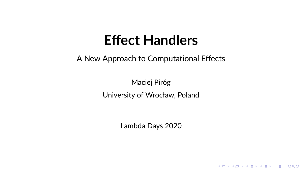## **Effect Handlers**

A New Approach to Computational Effects

Maciej Piróg University of Wrocław, Poland

Lambda Days 2020

イロト 4 個 ト 4 差 ト 4 差 ト - 差 - 約 Q Q →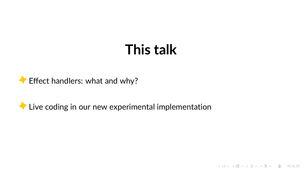# **This talk**

K ロ X x 何 X x 至 X x 至 X 2 日 X 9 Q Q <



Live coding in our new experimental implementation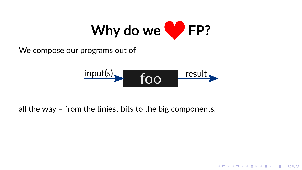

We compose our programs out of

$$
\xrightarrow{\text{input(s)}} \text{foo} \xrightarrow{\text{result}}
$$

**KOD KAP KED KED E VOQO** 

all the way - from the tiniest bits to the big components.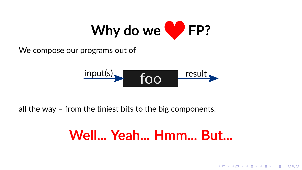

We compose our programs out of

$$
\xrightarrow{\text{input(s)}} \text{foo} \xrightarrow{\text{result}}
$$

all the way - from the tiniest bits to the big components.

# Well... Yeah... Hmm... But...

K ロ ▶ K @ ▶ K 할 ▶ K 할 ▶ 이 할 → 9 Q Q\*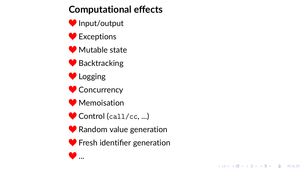## **Computational effects**

- Input/output
- **●** Exceptions
- Mutable state
- **◆ Backtracking**
- Logging
- Concurrency
- **◆** Memoisation
- Control (call/cc, ...)
- **◆ Random value generation**
- **Solution** Fresh identifier generation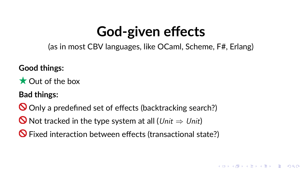# **God-given effects**

(as in most CBV languages, like OCaml, Scheme, F#, Erlang)

**Good things:**

**C**ut of the box

**Bad things:**

Only a predefined set of effects (backtracking search?)

O Not tracked in the type system at all (Unit  $⇒$  Unit)

 $\Theta$  Fixed interaction between effects (transactional state?)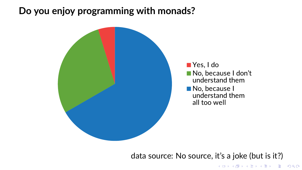### **Do you enjoy programming with monads?**



data source: No source, it's a joke (but is it?)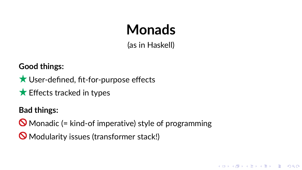# **Monads**

(as in Haskell)

**KORK EXTERNE PROVIDE** 

**Good things:**

- ★ User-defined, fit-for-purpose effects
- $\bigstar$  Effects tracked in types

**Bad things:**

 $\bigcirc$  Monadic (= kind-of imperative) style of programming

**Modularity issues (transformer stack!)**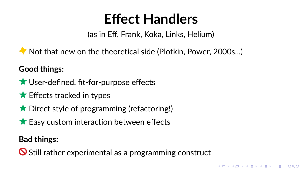# **Effect Handlers**

(as in Eff, Frank, Koka, Links, Helium)

Not that new on the theoretical side (Plotkin, Power, 2000s...)

### **Good things:**

**★ User-defined, fit-for-purpose effects** 

- $\bigstar$  Effects tracked in types
- $\bigstar$  Direct style of programming (refactoring!)
- $\star$  Easy custom interaction between effects

### **Bad things:**

 $\bigcirc$  Still rather experimental as a programming construct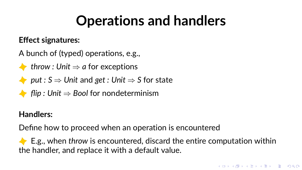# **Operations and handlers**

#### **Effect signatures:**

- A bunch of (typed) operations, e.g.,
- *throw : Unit* ⇒ *a* for exceptions
- *put :*  $S \Rightarrow$  *Unit* and *get : Unit*  $\Rightarrow$  *S* for state
- *flip : Unit* ⇒ *Bool* for nondeterminism

### **Handlers:**

Define how to proceed when an operation is encountered

E.g., when *throw* is encountered, discard the entire computation within the handler, and replace it with a default value.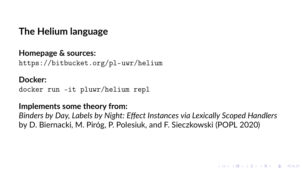**The Helium language**

#### **Homepage & sources:** <https://bitbucket.org/pl-uwr/helium>

**Docker:** docker run -it pluwr/helium repl

#### **Implements some theory from:**

*Binders by Day, Labels by Night: Effect Instances via Lexically Scoped Handlers* by D. Biernacki, M. Piróg, P. Polesiuk, and F. Sieczkowski (POPL 2020)

**KORK ERKER EL AGO**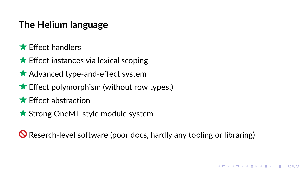## **The Helium language**

- $\bigstar$  Effect handlers
- $\bigstar$  Effect instances via lexical scoping
- $\star$  Advanced type-and-effect system
- $\bigstar$  Effect polymorphism (without row types!)
- $\bigstar$  Effect abstraction
- ★ Strong OneML-style module system

Reserch-level software (poor docs, hardly any tooling or libraring)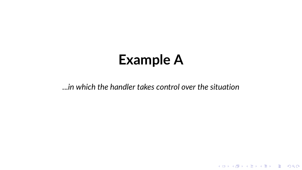# **Example A**

*...in which the handler takes control over the situation*

KOKK@KKEKKEK E 1990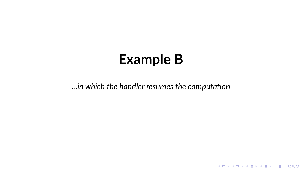## **Example B**

*...in which the handler resumes the computation*

KOXK@XKEXKEX E DAQ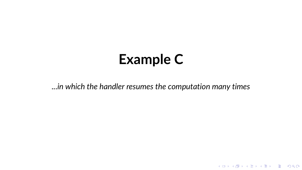# **Example C**

*...in which the handler resumes the computation many times*

K ロ X (日) X (日) X (日) X (日) X (日) X (日) X (日) X (日) X (日) X (日)